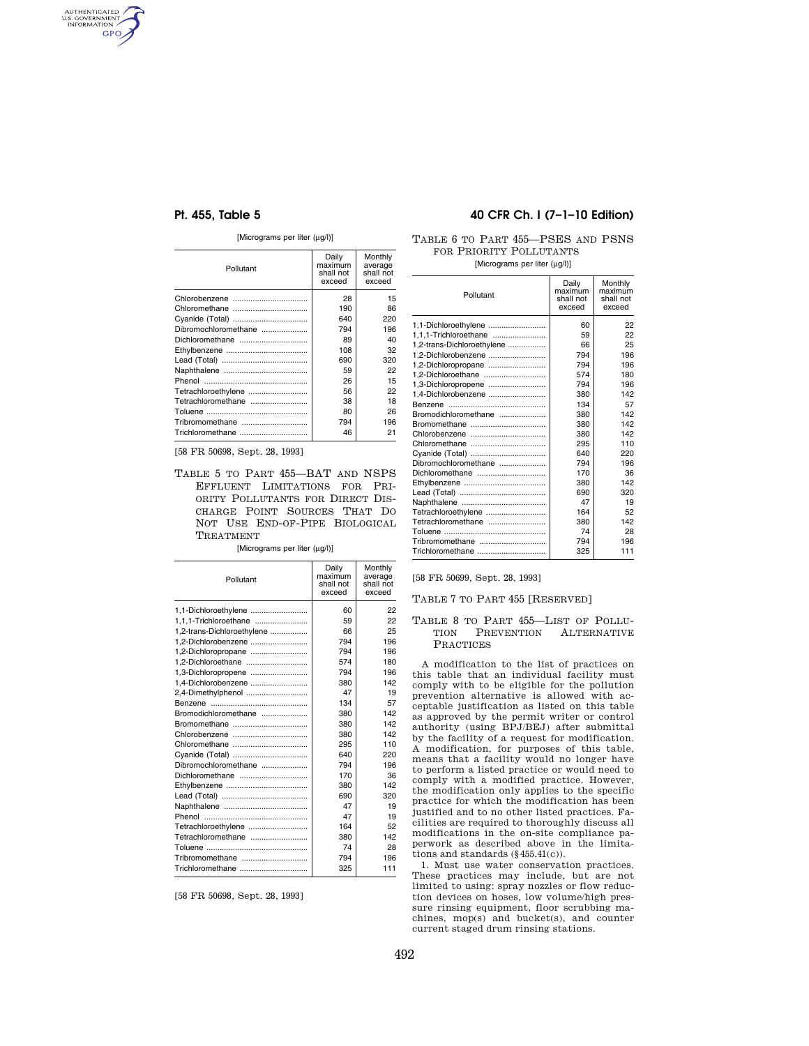AUTHENTICATED<br>U.S. GOVERNMENT<br>INFORMATION GPO

## [Micrograms per liter (μg/l)]

| Pollutant            | Daily<br>maximum<br>shall not<br>exceed | Monthly<br>average<br>shall not<br>exceed |
|----------------------|-----------------------------------------|-------------------------------------------|
|                      | 28                                      | 15                                        |
|                      | 190                                     | 86                                        |
|                      | 640                                     | 220                                       |
| Dibromochloromethane | 794                                     | 196                                       |
|                      | 89                                      | 40                                        |
|                      | 108                                     | 32                                        |
|                      | 690                                     | 320                                       |
|                      | 59                                      | 22                                        |
|                      | 26                                      | 15                                        |
| Tetrachloroethylene  | 56                                      | 22                                        |
| Tetrachloromethane   | 38                                      | 18                                        |
|                      | 80                                      | 26                                        |
| Tribromomethane      | 794                                     | 196                                       |
|                      | 46                                      | 21                                        |

[58 FR 50698, Sept. 28, 1993]

TABLE 5 TO PART 455—BAT AND NSPS EFFLUENT LIMITATIONS FOR PRI-ORITY POLLUTANTS FOR DIRECT DIS-CHARGE POINT SOURCES THAT DO NOT USE END-OF-PIPE BIOLOGICAL TREATMENT

[Micrograms per liter (μg/l)]

| Pollutant                  | Daily<br>maximum<br>shall not<br>exceed | Monthly<br>average<br>shall not<br>exceed |
|----------------------------|-----------------------------------------|-------------------------------------------|
| 1.1-Dichloroethylene       | 60                                      | 22                                        |
| 1,1,1-Trichloroethane      | 59                                      | 22                                        |
| 1,2-trans-Dichloroethylene | 66                                      | 25                                        |
| 1,2-Dichlorobenzene        | 794                                     | 196                                       |
| 1,2-Dichloropropane        | 794                                     | 196                                       |
|                            | 574                                     | 180                                       |
| 1,3-Dichloropropene        | 794                                     | 196                                       |
| 1,4-Dichlorobenzene        | 380                                     | 142                                       |
| 2,4-Dimethylphenol         | 47                                      | 19                                        |
|                            | 134                                     | 57                                        |
| Bromodichloromethane       | 380                                     | 142                                       |
|                            | 380                                     | 142                                       |
|                            | 380                                     | 142                                       |
| Chloromethane              | 295                                     | 110                                       |
| Cyanide (Total)            | 640                                     | 220                                       |
| Dibromochloromethane       | 794                                     | 196                                       |
|                            | 170                                     | 36                                        |
|                            | 380                                     | 142                                       |
|                            | 690                                     | 320                                       |
|                            | 47                                      | 19                                        |
|                            | 47                                      | 19                                        |
| Tetrachloroethylene        | 164                                     | 52                                        |
|                            | 380                                     | 142                                       |
|                            | 74                                      | 28                                        |
| Tribromomethane            | 794                                     | 196                                       |
| Trichloromethane           | 325                                     | 111                                       |
|                            |                                         |                                           |

[58 FR 50698, Sept. 28, 1993]

# **Pt. 455, Table 5 40 CFR Ch. I (7–1–10 Edition)**

TABLE 6 TO PART 455—PSES AND PSNS FOR PRIORITY POLLUTANTS

[Micrograms per liter (μg/l)]

| Daily<br>maximum<br>Pollutant<br>shall not<br>exceed |     | Monthly<br>maximum <sub>1</sub><br>shall not<br>exceed |  |
|------------------------------------------------------|-----|--------------------------------------------------------|--|
| 1,1-Dichloroethylene                                 | 60  | 22                                                     |  |
| 1,1,1-Trichloroethane                                | 59  | 22                                                     |  |
| 1,2-trans-Dichloroethylene                           | 66  | 25                                                     |  |
| 1,2-Dichlorobenzene                                  | 794 | 196                                                    |  |
| 1,2-Dichloropropane                                  | 794 | 196                                                    |  |
| 1,2-Dichloroethane                                   | 574 | 180                                                    |  |
| 1,3-Dichloropropene                                  | 794 | 196                                                    |  |
| 1,4-Dichlorobenzene                                  | 380 | 142                                                    |  |
| <b>Benzene</b>                                       | 134 | 57                                                     |  |
| Bromodichloromethane                                 | 380 | 142                                                    |  |
| Bromomethane                                         | 380 | 142                                                    |  |
|                                                      | 380 | 142                                                    |  |
|                                                      | 295 | 110                                                    |  |
| Cvanide (Total)                                      | 640 | 220                                                    |  |
| Dibromochloromethane                                 | 794 | 196                                                    |  |
|                                                      | 170 | 36                                                     |  |
|                                                      | 380 | 142                                                    |  |
|                                                      | 690 | 320                                                    |  |
|                                                      | 47  | 19                                                     |  |
| Tetrachloroethylene                                  | 164 | 52                                                     |  |
| Tetrachloromethane                                   | 380 | 142                                                    |  |
|                                                      | 74  | 28                                                     |  |
|                                                      | 794 | 196                                                    |  |
|                                                      | 325 | 111                                                    |  |
|                                                      |     |                                                        |  |

[58 FR 50699, Sept. 28, 1993]

TABLE 7 TO PART 455 [RESERVED]

### TABLE 8 TO PART 455—LIST OF POLLU-TION PREVENTION ALTERNATIVE PRACTICES

A modification to the list of practices on this table that an individual facility must comply with to be eligible for the pollution prevention alternative is allowed with acceptable justification as listed on this table as approved by the permit writer or control authority (using BPJ/BEJ) after submittal by the facility of a request for modification. A modification, for purposes of this table, means that a facility would no longer have to perform a listed practice or would need to comply with a modified practice. However, the modification only applies to the specific practice for which the modification has been justified and to no other listed practices. Facilities are required to thoroughly discuss all modifications in the on-site compliance paperwork as described above in the limitations and standards (§455.41(c)).

1. Must use water conservation practices. These practices may include, but are not limited to using: spray nozzles or flow reduction devices on hoses, low volume/high pressure rinsing equipment, floor scrubbing machines, mop(s) and bucket(s), and counter current staged drum rinsing stations.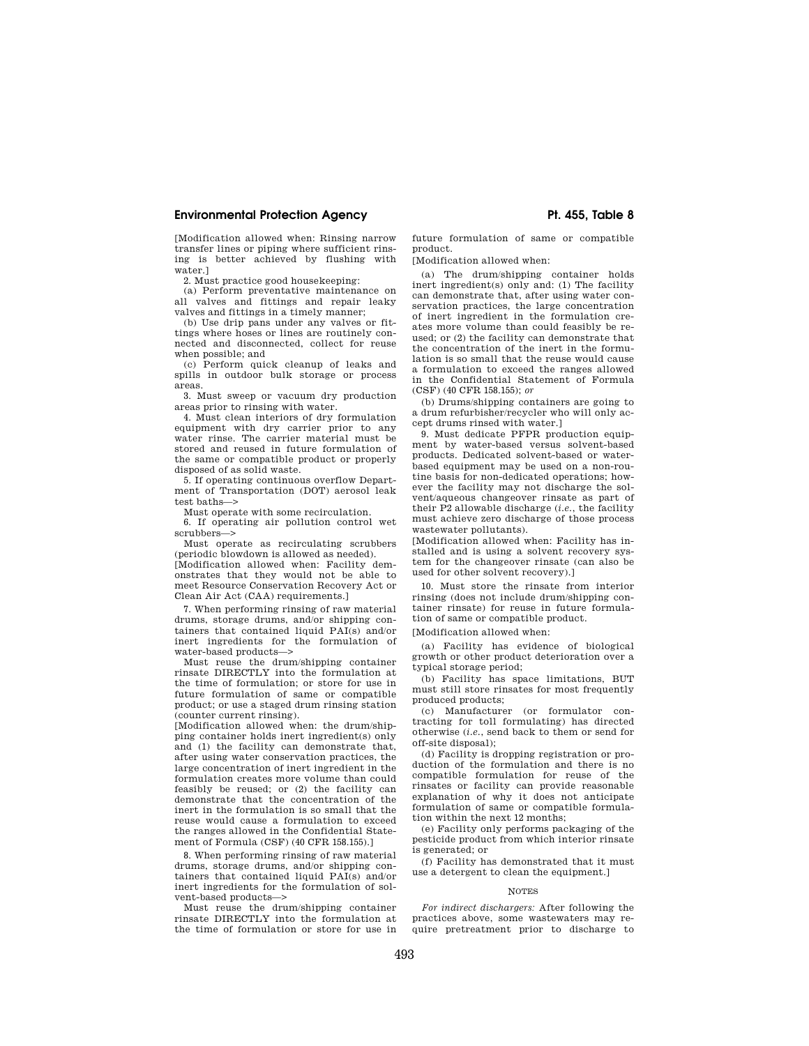## **Environmental Protection Agency Pt. 455, Table 8**

[Modification allowed when: Rinsing narrow transfer lines or piping where sufficient rinsing is better achieved by flushing with water.]

2. Must practice good housekeeping:

(a) Perform preventative maintenance on all valves and fittings and repair leaky valves and fittings in a timely manner;

(b) Use drip pans under any valves or fittings where hoses or lines are routinely connected and disconnected, collect for reuse when possible; and

(c) Perform quick cleanup of leaks and spills in outdoor bulk storage or process areas.

3. Must sweep or vacuum dry production areas prior to rinsing with water.

4. Must clean interiors of dry formulation equipment with dry carrier prior to any water rinse. The carrier material must be stored and reused in future formulation of the same or compatible product or properly disposed of as solid waste.

5. If operating continuous overflow Department of Transportation (DOT) aerosol leak test baths—>

Must operate with some recirculation.

6. If operating air pollution control wet scrubbers—>

Must operate as recirculating scrubbers (periodic blowdown is allowed as needed).

[Modification allowed when: Facility demonstrates that they would not be able to meet Resource Conservation Recovery Act or Clean Air Act (CAA) requirements.]

7. When performing rinsing of raw material drums, storage drums, and/or shipping containers that contained liquid PAI(s) and/or inert ingredients for the formulation of water-based products—>

Must reuse the drum/shipping container rinsate DIRECTLY into the formulation at the time of formulation; or store for use in future formulation of same or compatible product; or use a staged drum rinsing station (counter current rinsing).

[Modification allowed when: the drum/shipping container holds inert ingredient(s) only and (1) the facility can demonstrate that, after using water conservation practices, the large concentration of inert ingredient in the formulation creates more volume than could feasibly be reused; or (2) the facility can demonstrate that the concentration of the inert in the formulation is so small that the reuse would cause a formulation to exceed the ranges allowed in the Confidential Statement of Formula (CSF) (40 CFR 158.155).]

8. When performing rinsing of raw material drums, storage drums, and/or shipping containers that contained liquid PAI(s) and/or inert ingredients for the formulation of solvent-based products—>

Must reuse the drum/shipping container rinsate DIRECTLY into the formulation at the time of formulation or store for use in

future formulation of same or compatible product.

[Modification allowed when:

(a) The drum/shipping container holds inert ingredient(s) only and: (1) The facility can demonstrate that, after using water conservation practices, the large concentration of inert ingredient in the formulation creates more volume than could feasibly be reused; or (2) the facility can demonstrate that the concentration of the inert in the formulation is so small that the reuse would cause a formulation to exceed the ranges allowed in the Confidential Statement of Formula (CSF) (40 CFR 158.155); *or* 

(b) Drums/shipping containers are going to a drum refurbisher/recycler who will only accept drums rinsed with water.]

9. Must dedicate PFPR production equipment by water-based versus solvent-based products. Dedicated solvent-based or waterbased equipment may be used on a non-routine basis for non-dedicated operations; however the facility may not discharge the solvent/aqueous changeover rinsate as part of their P2 allowable discharge (*i.e.*, the facility must achieve zero discharge of those process wastewater pollutants).

[Modification allowed when: Facility has installed and is using a solvent recovery system for the changeover rinsate (can also be used for other solvent recovery).]

10. Must store the rinsate from interior rinsing (does not include drum/shipping container rinsate) for reuse in future formulation of same or compatible product.

[Modification allowed when:

(a) Facility has evidence of biological growth or other product deterioration over a typical storage period;

(b) Facility has space limitations, BUT must still store rinsates for most frequently produced products;

(c) Manufacturer (or formulator contracting for toll formulating) has directed otherwise (*i.e.*, send back to them or send for off-site disposal);

(d) Facility is dropping registration or production of the formulation and there is no compatible formulation for reuse of the rinsates or facility can provide reasonable explanation of why it does not anticipate formulation of same or compatible formulation within the next 12 months;

(e) Facility only performs packaging of the pesticide product from which interior rinsate is generated; or

(f) Facility has demonstrated that it must use a detergent to clean the equipment.]

### **NOTES**

*For indirect dischargers:* After following the practices above, some wastewaters may require pretreatment prior to discharge to